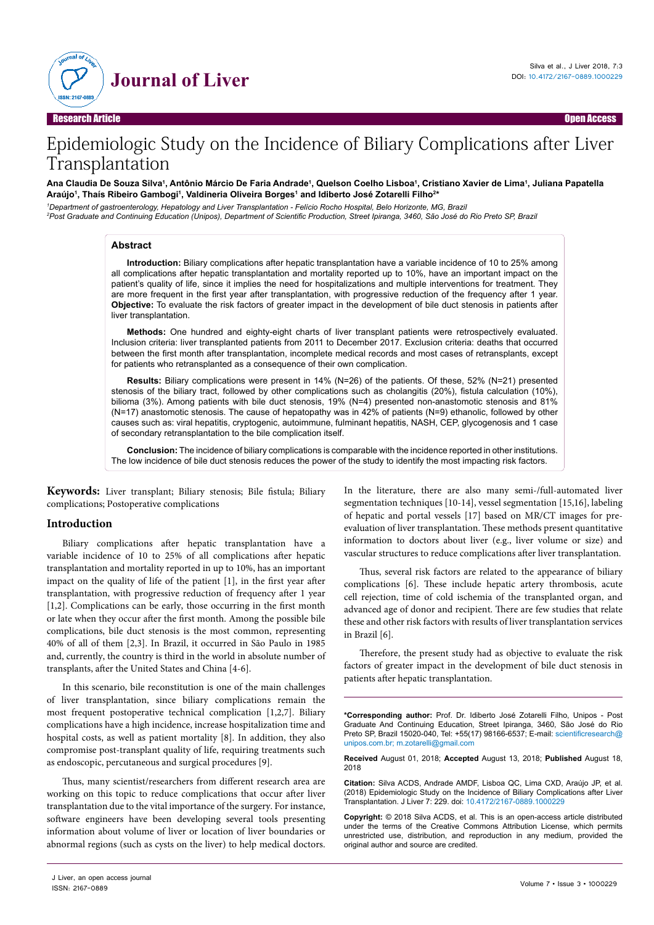

# Epidemiologic Study on the Incidence of Biliary Complications after Liver Transplantation

#### Ana Claudia De Souza Silva', Antônio Márcio De Faria Andrade', Quelson Coelho Lisboa', Cristiano Xavier de Lima', Juliana Papatella **Araújo1 , Thaís Ribeiro Gambogi1 , Valdineria Oliveira Borges1 and Idiberto José Zotarelli Filho2 \***

*1 Department of gastroenterology, Hepatology and Liver Transplantation - Felício Rocho Hospital, Belo Horizonte, MG, Brazil 2 Post Graduate and Continuing Education (Unipos), Department of Scientific Production, Street Ipiranga, 3460, São José do Rio Preto SP, Brazil*

#### **Abstract**

**Introduction:** Biliary complications after hepatic transplantation have a variable incidence of 10 to 25% among all complications after hepatic transplantation and mortality reported up to 10%, have an important impact on the patient's quality of life, since it implies the need for hospitalizations and multiple interventions for treatment. They are more frequent in the first year after transplantation, with progressive reduction of the frequency after 1 year. **Objective:** To evaluate the risk factors of greater impact in the development of bile duct stenosis in patients after liver transplantation.

**Methods:** One hundred and eighty-eight charts of liver transplant patients were retrospectively evaluated. Inclusion criteria: liver transplanted patients from 2011 to December 2017. Exclusion criteria: deaths that occurred between the first month after transplantation, incomplete medical records and most cases of retransplants, except for patients who retransplanted as a consequence of their own complication.

**Results:** Biliary complications were present in 14% (N=26) of the patients. Of these, 52% (N=21) presented stenosis of the biliary tract, followed by other complications such as cholangitis (20%), fistula calculation (10%), bilioma (3%). Among patients with bile duct stenosis, 19% (N=4) presented non-anastomotic stenosis and 81% (N=17) anastomotic stenosis. The cause of hepatopathy was in 42% of patients (N=9) ethanolic, followed by other causes such as: viral hepatitis, cryptogenic, autoimmune, fulminant hepatitis, NASH, CEP, glycogenosis and 1 case of secondary retransplantation to the bile complication itself.

**Conclusion:** The incidence of biliary complications is comparable with the incidence reported in other institutions. The low incidence of bile duct stenosis reduces the power of the study to identify the most impacting risk factors.

**Keywords:** Liver transplant; Biliary stenosis; Bile fistula; Biliary complications; Postoperative complications

## **Introduction**

Biliary complications after hepatic transplantation have a variable incidence of 10 to 25% of all complications after hepatic transplantation and mortality reported in up to 10%, has an important impact on the quality of life of the patient [1], in the first year after transplantation, with progressive reduction of frequency after 1 year [1,2]. Complications can be early, those occurring in the first month or late when they occur after the first month. Among the possible bile complications, bile duct stenosis is the most common, representing 40% of all of them [2,3]. In Brazil, it occurred in São Paulo in 1985 and, currently, the country is third in the world in absolute number of transplants, after the United States and China [4-6].

In this scenario, bile reconstitution is one of the main challenges of liver transplantation, since biliary complications remain the most frequent postoperative technical complication [1,2,7]. Biliary complications have a high incidence, increase hospitalization time and hospital costs, as well as patient mortality [8]. In addition, they also compromise post-transplant quality of life, requiring treatments such as endoscopic, percutaneous and surgical procedures [9].

Thus, many scientist/researchers from different research area are working on this topic to reduce complications that occur after liver transplantation due to the vital importance of the surgery. For instance, software engineers have been developing several tools presenting information about volume of liver or location of liver boundaries or abnormal regions (such as cysts on the liver) to help medical doctors.

In the literature, there are also many semi-/full-automated liver segmentation techniques [10-14], vessel segmentation [15,16], labeling of hepatic and portal vessels [17] based on MR/CT images for preevaluation of liver transplantation. These methods present quantitative information to doctors about liver (e.g., liver volume or size) and vascular structures to reduce complications after liver transplantation.

Thus, several risk factors are related to the appearance of biliary complications [6]. These include hepatic artery thrombosis, acute cell rejection, time of cold ischemia of the transplanted organ, and advanced age of donor and recipient. There are few studies that relate these and other risk factors with results of liver transplantation services in Brazil [6].

Therefore, the present study had as objective to evaluate the risk factors of greater impact in the development of bile duct stenosis in patients after hepatic transplantation.

**\*Corresponding author:** Prof. Dr. Idiberto José Zotarelli Filho, Unipos - Post Graduate And Continuing Education, Street Ipiranga, 3460, São José do Rio Preto SP, Brazil 15020-040, Tel: +55(17) 98166-6537; E-mail: [scientificresearch@](mailto:scientificresearch@unipos.com.br) [unipos.com.br](mailto:scientificresearch@unipos.com.br); [m.zotarelli@gmail.com](mailto:m.zotarelli@gmail.com)

**Received** August 01, 2018; **Accepted** August 13, 2018; **Published** August 18, 2018

**Citation:** Silva ACDS, Andrade AMDF, Lisboa QC, Lima CXD, Araújo JP, et al. (2018) Epidemiologic Study on the Incidence of Biliary Complications after Liver Transplantation. J Liver 7: 229. doi: 10.4172/2167-0889.1000229

**Copyright:** © 2018 Silva ACDS, et al. This is an open-access article distributed under the terms of the Creative Commons Attribution License, which permits unrestricted use, distribution, and reproduction in any medium, provided the original author and source are credited.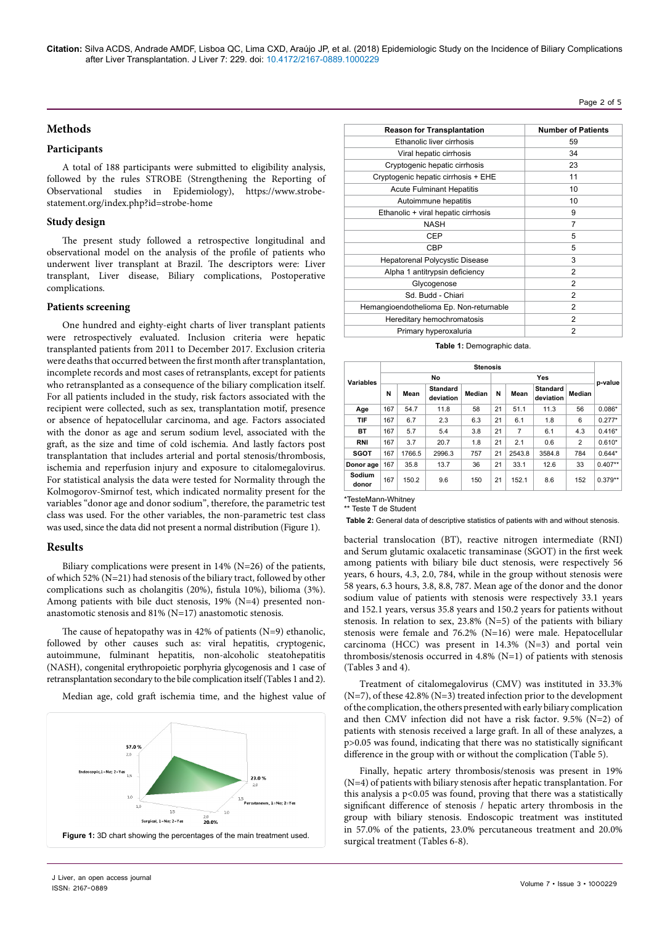**Citation:** Silva ACDS, Andrade AMDF, Lisboa QC, Lima CXD, Araújo JP, et al. (2018) Epidemiologic Study on the Incidence of Biliary Complications after Liver Transplantation. J Liver 7: 229. doi: 10.4172/2167-0889.1000229

#### Page 2 of 5

# **Methods**

# **Participants**

A total of 188 participants were submitted to eligibility analysis, followed by the rules STROBE (Strengthening the Reporting of Observational studies in Epidemiology), [https://www.strobe](https://www.strobe-statement.org/index.php?id=strobe-home)[statement.org/index.php?id=strobe-home](https://www.strobe-statement.org/index.php?id=strobe-home)

## **Study design**

The present study followed a retrospective longitudinal and observational model on the analysis of the profile of patients who underwent liver transplant at Brazil. The descriptors were: Liver transplant, Liver disease, Biliary complications, Postoperative complications.

## **Patients screening**

One hundred and eighty-eight charts of liver transplant patients were retrospectively evaluated. Inclusion criteria were hepatic transplanted patients from 2011 to December 2017. Exclusion criteria were deaths that occurred between the first month after transplantation, incomplete records and most cases of retransplants, except for patients who retransplanted as a consequence of the biliary complication itself. For all patients included in the study, risk factors associated with the recipient were collected, such as sex, transplantation motif, presence or absence of hepatocellular carcinoma, and age. Factors associated with the donor as age and serum sodium level, associated with the graft, as the size and time of cold ischemia. And lastly factors post transplantation that includes arterial and portal stenosis/thrombosis, ischemia and reperfusion injury and exposure to citalomegalovirus. For statistical analysis the data were tested for Normality through the Kolmogorov-Smirnof test, which indicated normality present for the variables "donor age and donor sodium", therefore, the parametric test class was used. For the other variables, the non-parametric test class was used, since the data did not present a normal distribution (Figure 1).

#### **Results**

Biliary complications were present in 14% (N=26) of the patients, of which 52% (N=21) had stenosis of the biliary tract, followed by other complications such as cholangitis (20%), fistula 10%), bilioma (3%). Among patients with bile duct stenosis, 19% (N=4) presented nonanastomotic stenosis and 81% (N=17) anastomotic stenosis.

The cause of hepatopathy was in 42% of patients (N=9) ethanolic, followed by other causes such as: viral hepatitis, cryptogenic, autoimmune, fulminant hepatitis, non-alcoholic steatohepatitis (NASH), congenital erythropoietic porphyria glycogenosis and 1 case of retransplantation secondary to the bile complication itself (Tables 1 and 2).

Median age, cold graft ischemia time, and the highest value of



| <b>Reason for Transplantation</b>       | <b>Number of Patients</b> |
|-----------------------------------------|---------------------------|
| Ethanolic liver cirrhosis               | 59                        |
| Viral hepatic cirrhosis                 | 34                        |
| Cryptogenic hepatic cirrhosis           | 23                        |
| Cryptogenic hepatic cirrhosis + EHE     | 11                        |
| <b>Acute Fulminant Hepatitis</b>        | 10                        |
| Autoimmune hepatitis                    | 10                        |
| Ethanolic + viral hepatic cirrhosis     | 9                         |
| <b>NASH</b>                             | 7                         |
| CEP                                     | 5                         |
| CBP                                     | 5                         |
| <b>Hepatorenal Polycystic Disease</b>   | 3                         |
| Alpha 1 antitrypsin deficiency          | $\overline{2}$            |
| Glycogenose                             | $\overline{2}$            |
| Sd. Budd - Chiari                       | $\overline{2}$            |
| Hemangioendothelioma Ep. Non-returnable | $\overline{2}$            |
| Hereditary hemochromatosis              | $\overline{2}$            |
| Primary hyperoxaluria                   | $\overline{2}$            |

| <b>Variables</b> | <b>Stenosis</b> |        |                              |        |    |                |                              |                |           |  |
|------------------|-----------------|--------|------------------------------|--------|----|----------------|------------------------------|----------------|-----------|--|
|                  | No              |        |                              |        |    | Yes            |                              |                |           |  |
|                  | N               | Mean   | <b>Standard</b><br>deviation | Median | N  | Mean           | <b>Standard</b><br>deviation | Median         | p-value   |  |
| Age              | 167             | 54.7   | 11.8                         | 58     | 21 | 51.1           | 11.3                         | 56             | $0.086*$  |  |
| TIF              | 167             | 6.7    | 2.3                          | 6.3    | 21 | 6.1            | 1.8                          | 6              | $0.277*$  |  |
| BT               | 167             | 5.7    | 5.4                          | 3.8    | 21 | $\overline{7}$ | 6.1                          | 4.3            | $0.416*$  |  |
| <b>RNI</b>       | 167             | 3.7    | 20.7                         | 1.8    | 21 | 2.1            | 0.6                          | $\overline{2}$ | $0.610*$  |  |
| <b>SGOT</b>      | 167             | 1766.5 | 2996.3                       | 757    | 21 | 2543.8         | 3584.8                       | 784            | $0.644*$  |  |
| Donor age        | 167             | 35.8   | 13.7                         | 36     | 21 | 33.1           | 12.6                         | 33             | $0.407**$ |  |
| Sodium<br>donor  | 167             | 150.2  | 9.6                          | 150    | 21 | 152.1          | 8.6                          | 152            | $0.379**$ |  |

**Table 1:** Demographic data.

\*TesteMann-Whitney \*\* Teste T de Student

**Table 2:** General data of descriptive statistics of patients with and without stenosis.

bacterial translocation (BT), reactive nitrogen intermediate (RNI) and Serum glutamic oxalacetic transaminase (SGOT) in the first week among patients with biliary bile duct stenosis, were respectively 56 years, 6 hours, 4.3, 2.0, 784, while in the group without stenosis were 58 years, 6.3 hours, 3.8, 8.8, 787. Mean age of the donor and the donor sodium value of patients with stenosis were respectively 33.1 years and 152.1 years, versus 35.8 years and 150.2 years for patients without stenosis. In relation to sex, 23.8% (N=5) of the patients with biliary stenosis were female and 76.2% (N=16) were male. Hepatocellular carcinoma (HCC) was present in 14.3% (N=3) and portal vein thrombosis/stenosis occurred in 4.8% (N=1) of patients with stenosis (Tables 3 and 4).

Treatment of citalomegalovirus (CMV) was instituted in 33.3% (N=7), of these 42.8% (N=3) treated infection prior to the development of the complication, the others presented with early biliary complication and then CMV infection did not have a risk factor. 9.5% (N=2) of patients with stenosis received a large graft. In all of these analyzes, a p>0.05 was found, indicating that there was no statistically significant difference in the group with or without the complication (Table 5).

Finally, hepatic artery thrombosis/stenosis was present in 19% (N=4) of patients with biliary stenosis after hepatic transplantation. For this analysis a  $p<0.05$  was found, proving that there was a statistically significant difference of stenosis / hepatic artery thrombosis in the group with biliary stenosis. Endoscopic treatment was instituted in 57.0% of the patients, 23.0% percutaneous treatment and 20.0%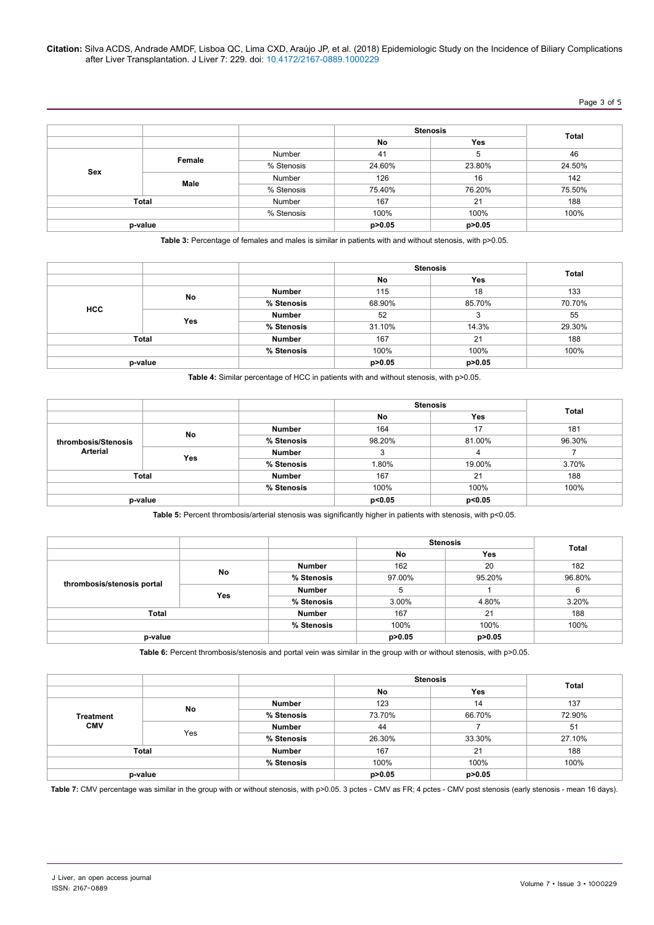#### **Citation:** Silva ACDS, Andrade AMDF, Lisboa QC, Lima CXD, Araújo JP, et al. (2018) Epidemiologic Study on the Incidence of Biliary Complications after Liver Transplantation. J Liver 7: 229. doi: 10.4172/2167-0889.1000229

# Page 3 of 5

|     |              |            | <b>Stenosis</b> |          |        |
|-----|--------------|------------|-----------------|----------|--------|
|     |              |            | No              | Yes      | Total  |
|     |              | Number     | 41              | 5        | 46     |
|     | Female       | % Stenosis | 24.60%          | 23.80%   | 24.50% |
| Sex |              | Number     | 126             | 16       | 142    |
|     | Male         | % Stenosis | 75.40%          | 76.20%   | 75.50% |
|     | <b>Total</b> | Number     | 167             | 21       | 188    |
|     |              | % Stenosis | 100%            | 100%     | 100%   |
|     | p-value      |            | p>0.05          | p > 0.05 |        |

**Table 3:** Percentage of females and males is similar in patients with and without stenosis, with p>0.05.

|              |    |               |          | <b>Stenosis</b> | <b>Total</b> |
|--------------|----|---------------|----------|-----------------|--------------|
|              |    |               | No       | Yes             |              |
|              | No | <b>Number</b> | 115      | 18              | 133          |
| <b>HCC</b>   |    | % Stenosis    | 68.90%   | 85.70%          | 70.70%       |
|              |    | Number        | 52       | 3               | 55           |
| Yes          |    | % Stenosis    | 31.10%   | 14.3%           | 29.30%       |
| <b>Total</b> |    | <b>Number</b> | 167      | 21              | 188          |
|              |    | % Stenosis    | 100%     | 100%            | 100%         |
| p-value      |    |               | p > 0.05 | p>0.05          |              |

**Table 4:** Similar percentage of HCC in patients with and without stenosis, with p>0.05.

|                     |              |               |          | <b>Stenosis</b> | Total  |
|---------------------|--------------|---------------|----------|-----------------|--------|
|                     |              |               | No       | Yes             |        |
|                     | No           | <b>Number</b> | 164      | 17              | 181    |
| thrombosis/Stenosis |              | % Stenosis    | 98.20%   | 81.00%          | 96.30% |
| Arterial            |              | <b>Number</b> | ບ        | 4               |        |
|                     | Yes          | % Stenosis    | $1.80\%$ | 19.00%          | 3.70%  |
|                     | <b>Total</b> |               | 167      | 21              | 188    |
|                     |              | % Stenosis    | 100%     | 100%            | 100%   |
| p-value             |              |               | p<0.05   | p<0.05          |        |

Table 5: Percent thrombosis/arterial stenosis was significantly higher in patients with stenosis, with p<0.05.

|                            |           |               | <b>Stenosis</b> |            | Total  |
|----------------------------|-----------|---------------|-----------------|------------|--------|
|                            |           |               | No              | <b>Yes</b> |        |
| thrombosis/stenosis portal |           | <b>Number</b> | 162             | 20         | 182    |
|                            | <b>No</b> | % Stenosis    | 97.00%          | 95.20%     | 96.80% |
|                            | Yes       | <b>Number</b> | 5               |            | 6      |
|                            |           | % Stenosis    | 3.00%           | 4.80%      | 3.20%  |
| Total                      |           | <b>Number</b> | 167             | 21         | 188    |
|                            |           | % Stenosis    | 100%            | 100%       | 100%   |
| p-value                    |           |               | p > 0.05        | p > 0.05   |        |

**Table 6:** Percent thrombosis/stenosis and portal vein was similar in the group with or without stenosis, with p>0.05.

|                  |           |               |          | <b>Stenosis</b> |              |
|------------------|-----------|---------------|----------|-----------------|--------------|
|                  |           |               | No       | <b>Yes</b>      | <b>Total</b> |
|                  | <b>No</b> | <b>Number</b> | 123      | 14              | 137          |
| <b>Treatment</b> |           | % Stenosis    | 73.70%   | 66.70%          | 72.90%       |
| <b>CMV</b>       | Yes       | <b>Number</b> | 44       |                 | 51           |
|                  |           | % Stenosis    | 26.30%   | 33.30%          | 27.10%       |
| Total            |           | <b>Number</b> | 167      | 21              | 188          |
|                  |           | % Stenosis    | 100%     | 100%            | 100%         |
| p-value          |           |               | p > 0.05 | p > 0.05        |              |

Table 7: CMV percentage was similar in the group with or without stenosis, with p>0.05. 3 pctes - CMV as FR; 4 pctes - CMV post stenosis (early stenosis - mean 16 days).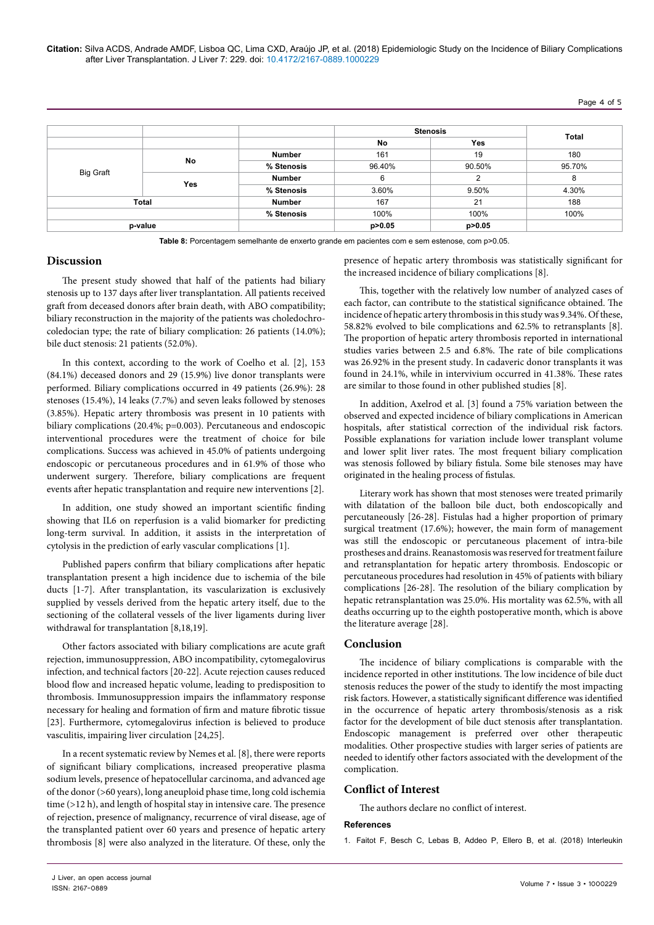**Citation:** Silva ACDS, Andrade AMDF, Lisboa QC, Lima CXD, Araújo JP, et al. (2018) Epidemiologic Study on the Incidence of Biliary Complications after Liver Transplantation. J Liver 7: 229. doi: 10.4172/2167-0889.1000229

## Page 4 of 5

|                  |            |               | <b>Stenosis</b> |          |              |
|------------------|------------|---------------|-----------------|----------|--------------|
|                  |            |               | No              | Yes      | <b>Total</b> |
|                  | No         | <b>Number</b> | 161             | 19       | 180          |
|                  |            | % Stenosis    | 96.40%          | 90.50%   | 95.70%       |
| <b>Big Graft</b> |            | <b>Number</b> | 6               | 2        | 8            |
|                  | <b>Yes</b> | % Stenosis    | 3.60%           | 9.50%    | 4.30%        |
| Total            |            | <b>Number</b> | 167             | 21       | 188          |
|                  |            | % Stenosis    | 100%            | 100%     | 100%         |
| p-value          |            |               | p > 0.05        | p > 0.05 |              |

**Table 8:** Porcentagem semelhante de enxerto grande em pacientes com e sem estenose, com p>0.05.

## **Discussion**

The present study showed that half of the patients had biliary stenosis up to 137 days after liver transplantation. All patients received graft from deceased donors after brain death, with ABO compatibility; biliary reconstruction in the majority of the patients was choledochrocoledocian type; the rate of biliary complication: 26 patients (14.0%); bile duct stenosis: 21 patients (52.0%).

In this context, according to the work of Coelho et al. [2], 153 (84.1%) deceased donors and 29 (15.9%) live donor transplants were performed. Biliary complications occurred in 49 patients (26.9%): 28 stenoses (15.4%), 14 leaks (7.7%) and seven leaks followed by stenoses (3.85%). Hepatic artery thrombosis was present in 10 patients with biliary complications (20.4%; p=0.003). Percutaneous and endoscopic interventional procedures were the treatment of choice for bile complications. Success was achieved in 45.0% of patients undergoing endoscopic or percutaneous procedures and in 61.9% of those who underwent surgery. Therefore, biliary complications are frequent events after hepatic transplantation and require new interventions [2].

In addition, one study showed an important scientific finding showing that IL6 on reperfusion is a valid biomarker for predicting long-term survival. In addition, it assists in the interpretation of cytolysis in the prediction of early vascular complications [1].

Published papers confirm that biliary complications after hepatic transplantation present a high incidence due to ischemia of the bile ducts [1-7]. After transplantation, its vascularization is exclusively supplied by vessels derived from the hepatic artery itself, due to the sectioning of the collateral vessels of the liver ligaments during liver withdrawal for transplantation [8,18,19].

Other factors associated with biliary complications are acute graft rejection, immunosuppression, ABO incompatibility, cytomegalovirus infection, and technical factors [20-22]. Acute rejection causes reduced blood flow and increased hepatic volume, leading to predisposition to thrombosis. Immunosuppression impairs the inflammatory response necessary for healing and formation of firm and mature fibrotic tissue [23]. Furthermore, cytomegalovirus infection is believed to produce vasculitis, impairing liver circulation [24,25].

In a recent systematic review by Nemes et al. [8], there were reports of significant biliary complications, increased preoperative plasma sodium levels, presence of hepatocellular carcinoma, and advanced age of the donor (>60 years), long aneuploid phase time, long cold ischemia time (>12 h), and length of hospital stay in intensive care. The presence of rejection, presence of malignancy, recurrence of viral disease, age of the transplanted patient over 60 years and presence of hepatic artery thrombosis [8] were also analyzed in the literature. Of these, only the

presence of hepatic artery thrombosis was statistically significant for the increased incidence of biliary complications [8].

This, together with the relatively low number of analyzed cases of each factor, can contribute to the statistical significance obtained. The incidence of hepatic artery thrombosis in this study was 9.34%. Of these, 58.82% evolved to bile complications and 62.5% to retransplants [8]. The proportion of hepatic artery thrombosis reported in international studies varies between 2.5 and 6.8%. The rate of bile complications was 26.92% in the present study. In cadaveric donor transplants it was found in 24.1%, while in intervivium occurred in 41.38%. These rates are similar to those found in other published studies [8].

In addition, Axelrod et al. [3] found a 75% variation between the observed and expected incidence of biliary complications in American hospitals, after statistical correction of the individual risk factors. Possible explanations for variation include lower transplant volume and lower split liver rates. The most frequent biliary complication was stenosis followed by biliary fistula. Some bile stenoses may have originated in the healing process of fistulas.

Literary work has shown that most stenoses were treated primarily with dilatation of the balloon bile duct, both endoscopically and percutaneously [26-28]. Fistulas had a higher proportion of primary surgical treatment (17.6%); however, the main form of management was still the endoscopic or percutaneous placement of intra-bile prostheses and drains. Reanastomosis was reserved for treatment failure and retransplantation for hepatic artery thrombosis. Endoscopic or percutaneous procedures had resolution in 45% of patients with biliary complications [26-28]. The resolution of the biliary complication by hepatic retransplantation was 25.0%. His mortality was 62.5%, with all deaths occurring up to the eighth postoperative month, which is above the literature average [28].

#### **Conclusion**

The incidence of biliary complications is comparable with the incidence reported in other institutions. The low incidence of bile duct stenosis reduces the power of the study to identify the most impacting risk factors. However, a statistically significant difference was identified in the occurrence of hepatic artery thrombosis/stenosis as a risk factor for the development of bile duct stenosis after transplantation. Endoscopic management is preferred over other therapeutic modalities. Other prospective studies with larger series of patients are needed to identify other factors associated with the development of the complication.

## **Conflict of Interest**

The authors declare no conflict of interest.

#### **References**

1. [Faitot F, Besch C, Lebas B, Addeo P, Ellero B, et al. \(2018\) Interleukin](https://doi.org/10.1111/ctr.13357)